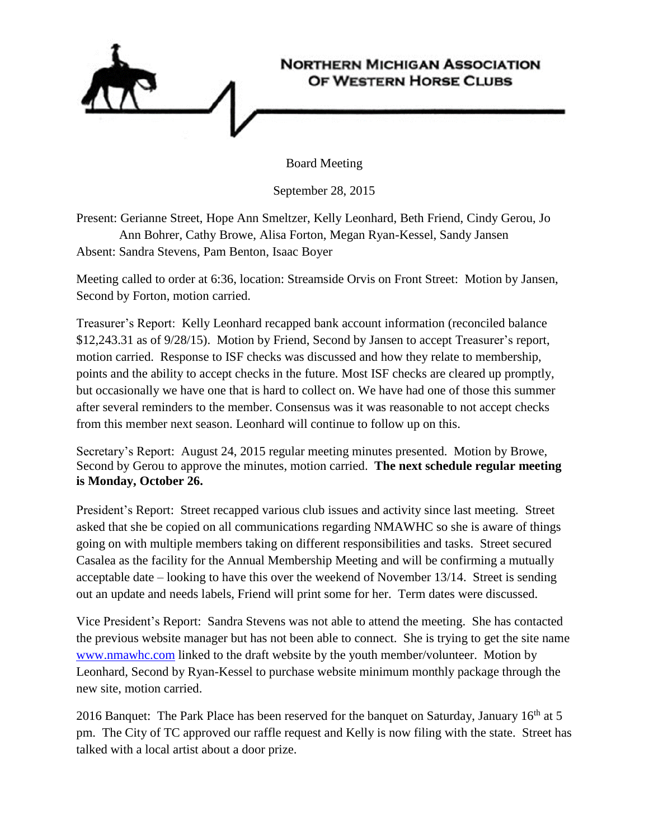

Board Meeting

September 28, 2015

Present: Gerianne Street, Hope Ann Smeltzer, Kelly Leonhard, Beth Friend, Cindy Gerou, Jo Ann Bohrer, Cathy Browe, Alisa Forton, Megan Ryan-Kessel, Sandy Jansen Absent: Sandra Stevens, Pam Benton, Isaac Boyer

Meeting called to order at 6:36, location: Streamside Orvis on Front Street: Motion by Jansen, Second by Forton, motion carried.

Treasurer's Report: Kelly Leonhard recapped bank account information (reconciled balance \$12,243.31 as of 9/28/15). Motion by Friend, Second by Jansen to accept Treasurer's report, motion carried. Response to ISF checks was discussed and how they relate to membership, points and the ability to accept checks in the future. Most ISF checks are cleared up promptly, but occasionally we have one that is hard to collect on. We have had one of those this summer after several reminders to the member. Consensus was it was reasonable to not accept checks from this member next season. Leonhard will continue to follow up on this.

Secretary's Report: August 24, 2015 regular meeting minutes presented. Motion by Browe, Second by Gerou to approve the minutes, motion carried. **The next schedule regular meeting is Monday, October 26.** 

President's Report: Street recapped various club issues and activity since last meeting. Street asked that she be copied on all communications regarding NMAWHC so she is aware of things going on with multiple members taking on different responsibilities and tasks. Street secured Casalea as the facility for the Annual Membership Meeting and will be confirming a mutually acceptable date – looking to have this over the weekend of November 13/14. Street is sending out an update and needs labels, Friend will print some for her. Term dates were discussed.

Vice President's Report: Sandra Stevens was not able to attend the meeting. She has contacted the previous website manager but has not been able to connect. She is trying to get the site name [www.nmawhc.com](http://www.nmawhc.com/) linked to the draft website by the youth member/volunteer. Motion by Leonhard, Second by Ryan-Kessel to purchase website minimum monthly package through the new site, motion carried.

2016 Banquet: The Park Place has been reserved for the banquet on Saturday, January  $16<sup>th</sup>$  at 5 pm. The City of TC approved our raffle request and Kelly is now filing with the state. Street has talked with a local artist about a door prize.